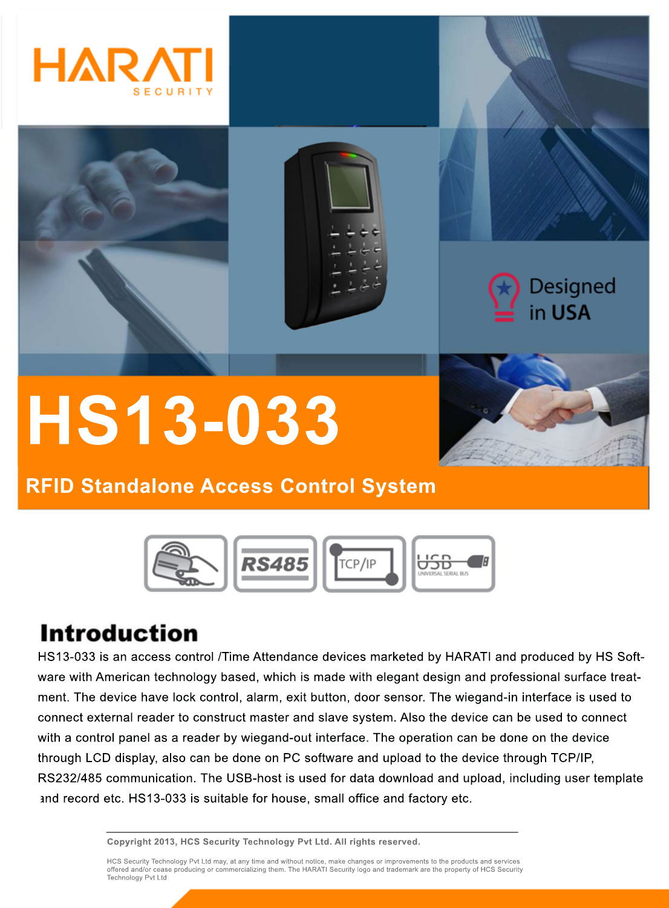



# **HS13-033**



## **RFID Standalone Access Control System**



# **Introduction**

HS13-033 is an access control /Time Attendance devices marketed by HARATI and produced by HS Software with American technology based, which is made with elegant design and professional surface treatment. The device have lock control, alarm, exit button, door sensor. The wiegand-in interface is used to connect external reader to construct master and slave system. Also the device can be used to connect with a control panel as a reader by wiegand-out interface. The operation can be done on the device through LCD display, also can be done on PC software and upload to the device through TCP/IP, RS232/485 communication. The USB-host is used for data download and upload, including user template and record etc. HS13-033 is suitable for house, small office and factory etc.

**Copyright 2013, HCS Security Technology Pvt Ltd. All rights reserved.**

HCS Security Technology Pvt Ltd may, at any time and without notice, make changes or improvements to the products and services<br>offered and/or cease producing or commercializing them. The HARATI Security logo and trademark Technology Pvt Ltd